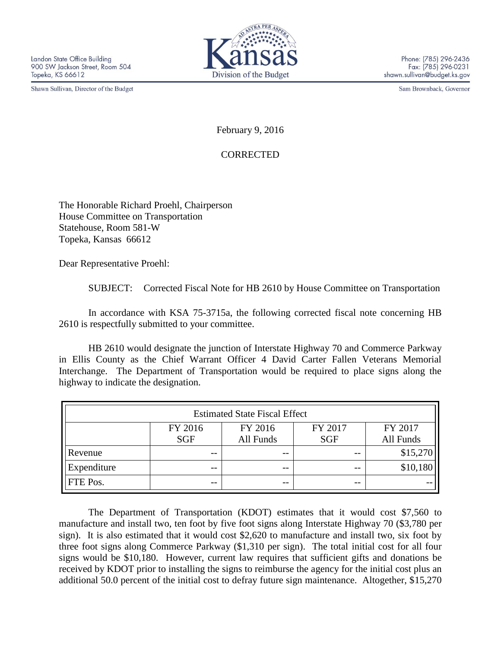Shawn Sullivan, Director of the Budget



Sam Brownback, Governor

February 9, 2016

**CORRECTED** 

The Honorable Richard Proehl, Chairperson House Committee on Transportation Statehouse, Room 581-W Topeka, Kansas 66612

Dear Representative Proehl:

SUBJECT: Corrected Fiscal Note for HB 2610 by House Committee on Transportation

In accordance with KSA 75-3715a, the following corrected fiscal note concerning HB 2610 is respectfully submitted to your committee.

HB 2610 would designate the junction of Interstate Highway 70 and Commerce Parkway in Ellis County as the Chief Warrant Officer 4 David Carter Fallen Veterans Memorial Interchange. The Department of Transportation would be required to place signs along the highway to indicate the designation.

| <b>Estimated State Fiscal Effect</b> |            |           |            |           |
|--------------------------------------|------------|-----------|------------|-----------|
|                                      | FY 2016    | FY 2016   | FY 2017    | FY 2017   |
|                                      | <b>SGF</b> | All Funds | <b>SGF</b> | All Funds |
| Revenue                              | $- -$      | $ -$      |            | \$15,270  |
| Expenditure                          | --         | $ -$      | $ -$       | \$10,180  |
| FTE Pos.                             | --         | $- -$     | $- -$      |           |

The Department of Transportation (KDOT) estimates that it would cost \$7,560 to manufacture and install two, ten foot by five foot signs along Interstate Highway 70 (\$3,780 per sign). It is also estimated that it would cost \$2,620 to manufacture and install two, six foot by three foot signs along Commerce Parkway (\$1,310 per sign). The total initial cost for all four signs would be \$10,180. However, current law requires that sufficient gifts and donations be received by KDOT prior to installing the signs to reimburse the agency for the initial cost plus an additional 50.0 percent of the initial cost to defray future sign maintenance. Altogether, \$15,270